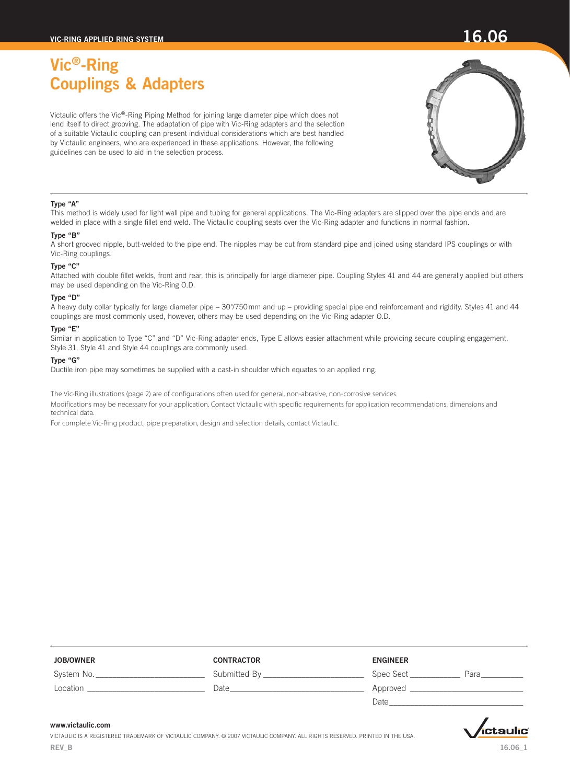Victaulic offers the Vic®-Ring Piping Method for joining large diameter pipe which does not lend itself to direct grooving. The adaptation of pipe with Vic-Ring adapters and the selection of a suitable Victaulic coupling can present individual considerations which are best handled by Victaulic engineers, who are experienced in these applications. However, the following guidelines can be used to aid in the selection process.

## Type "A"

This method is widely used for light wall pipe and tubing for general applications. The Vic-Ring adapters are slipped over the pipe ends and are welded in place with a single fillet end weld. The Victaulic coupling seats over the Vic-Ring adapter and functions in normal fashion.

### Type "B"

A short grooved nipple, butt-welded to the pipe end. The nipples may be cut from standard pipe and joined using standard IPS couplings or with Vic-Ring couplings.

### Type "C"

Attached with double fillet welds, front and rear, this is principally for large diameter pipe. Coupling Styles 41 and 44 are generally applied but others may be used depending on the Vic-Ring O.D.

### Type "D"

A heavy duty collar typically for large diameter pipe – 30"/750mm and up – providing special pipe end reinforcement and rigidity. Styles 41 and 44 couplings are most commonly used, however, others may be used depending on the Vic-Ring adapter O.D.

### Type "E"

Similar in application to Type "C" and "D" Vic-Ring adapter ends, Type E allows easier attachment while providing secure coupling engagement. Style 31, Style 41 and Style 44 couplings are commonly used.

### Type "G"

Ductile iron pipe may sometimes be supplied with a cast-in shoulder which equates to an applied ring.

The Vic-Ring illustrations (page 2) are of configurations often used for general, non-abrasive, non-corrosive services. Modifications may be necessary for your application. Contact Victaulic with specific requirements for application recommendations, dimensions and technical data.

For complete Vic-Ring product, pipe preparation, design and selection details, contact Victaulic.

| <b>JOB/OWNER</b> | <b>CONTRACTOR</b> | <b>ENGINEER</b>   |
|------------------|-------------------|-------------------|
| System No.       | Submitted By      | Spec Sect<br>Para |
| Location         | Date              | Approved          |
|                  |                   | Date              |

### www.victaulic.com

Victaulic is a registered trademark of Victaulic Company. © 2007 Victaulic Company. All rights reserved. printed in the USA. REV\_B

# ,<br>ictaulic

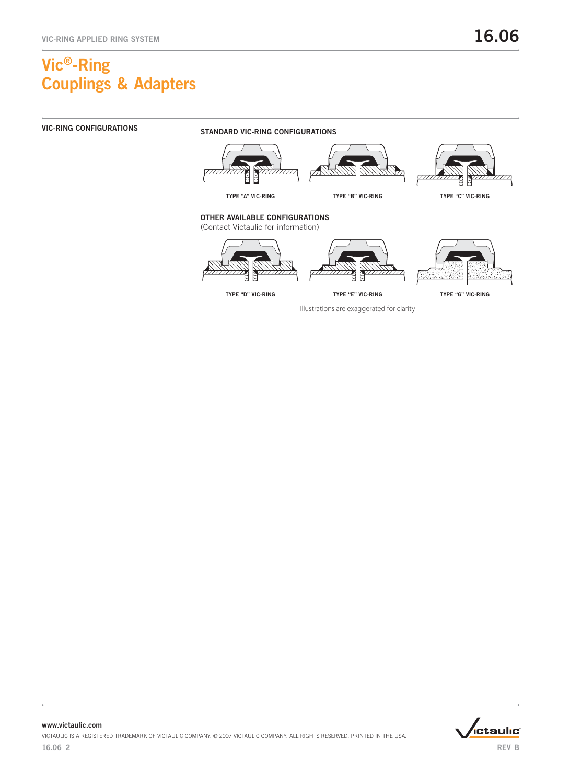

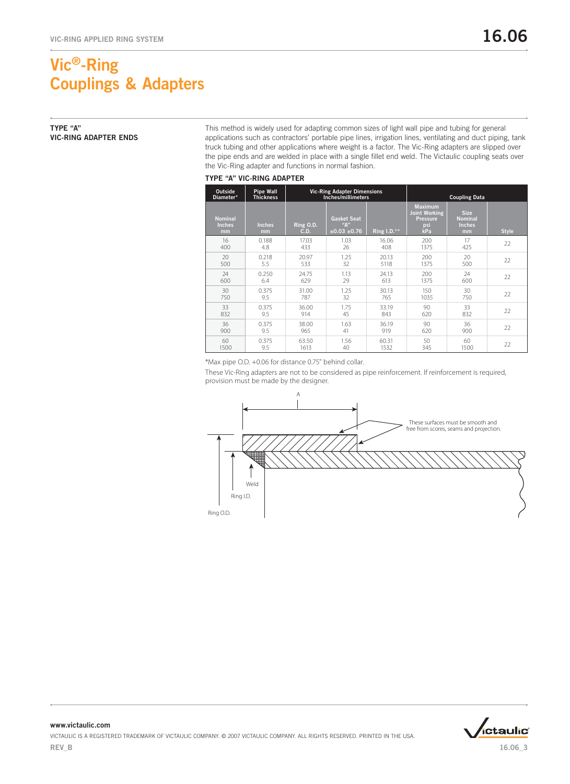## Type "A" Vic-Ring Adapter Ends

This method is widely used for adapting common sizes of light wall pipe and tubing for general applications such as contractors' portable pipe lines, irrigation lines, ventilating and duct piping, tank truck tubing and other applications where weight is a factor. The Vic-Ring adapters are slipped over the pipe ends and are welded in place with a single fillet end weld. The Victaulic coupling seats over the Vic-Ring adapter and functions in normal fashion.

### TYPE "A" VIC-RING ADAPTER

| Outside<br>Diameter*                  | <b>Pipe Wall</b><br><b>Thickness</b> |                   | <b>Vic-Ring Adapter Dimensions</b><br>Inches/millimeters |               |                                                                         | <b>Coupling Data</b>                                 |              |
|---------------------------------------|--------------------------------------|-------------------|----------------------------------------------------------|---------------|-------------------------------------------------------------------------|------------------------------------------------------|--------------|
| <b>Nominal</b><br><b>Inches</b><br>mm | <b>Inches</b><br>mm                  | Ring O.D.<br>C.D. | <b>Gasket Seat</b><br>"А"<br>±0.03±0.76                  | Ring $1.D.**$ | <b>Maximum</b><br><b>Joint Working</b><br><b>Pressure</b><br>psi<br>kPa | <b>Size</b><br><b>Nominal</b><br><b>Inches</b><br>mm | <b>Style</b> |
| 16                                    | 0.188                                | 17.03             | 1.03                                                     | 16.06         | 200                                                                     | 17                                                   | 22           |
| 400                                   | 4.8                                  | 433               | 26                                                       | 408           | 1375                                                                    | 425                                                  |              |
| 20                                    | 0.218                                | 20.97             | 1.25                                                     | 20.13         | 200                                                                     | 20                                                   | 22           |
| 500                                   | 5.5                                  | 533               | 32                                                       | 5118          | 1375                                                                    | 500                                                  |              |
| 24                                    | 0.250                                | 24.75             | 1.13                                                     | 24.13         | 200                                                                     | 24                                                   | 22           |
| 600                                   | 6.4                                  | 629               | 29                                                       | 613           | 1375                                                                    | 600                                                  |              |
| 30                                    | 0.375                                | 31.00             | 1.25                                                     | 30.13         | 150                                                                     | 30                                                   | 22           |
| 750                                   | 9.5                                  | 787               | 32                                                       | 765           | 1035                                                                    | 750                                                  |              |
| 33                                    | 0.375                                | 36.00             | 1.75                                                     | 33.19         | 90                                                                      | 33                                                   | 22           |
| 832                                   | 9.5                                  | 914               | 45                                                       | 843           | 620                                                                     | 832                                                  |              |
| 36                                    | 0.375                                | 38.00             | 1.63                                                     | 36.19         | 90                                                                      | 36                                                   | 22           |
| 900                                   | 9.5                                  | 965               | 41                                                       | 919           | 620                                                                     | 900                                                  |              |
| 60                                    | 0.375                                | 63.50             | 1.56                                                     | 60.31         | 50                                                                      | 60                                                   | 22           |
| 1500                                  | 9.5                                  | 1613              | 40                                                       | 1532          | 345                                                                     | 1500                                                 |              |

\*Max pipe O.D. +0.06 for distance 0.75" behind collar.

These Vic-Ring adapters are not to be considered as pipe reinforcement. If reinforcement is required, provision must be made by the designer.



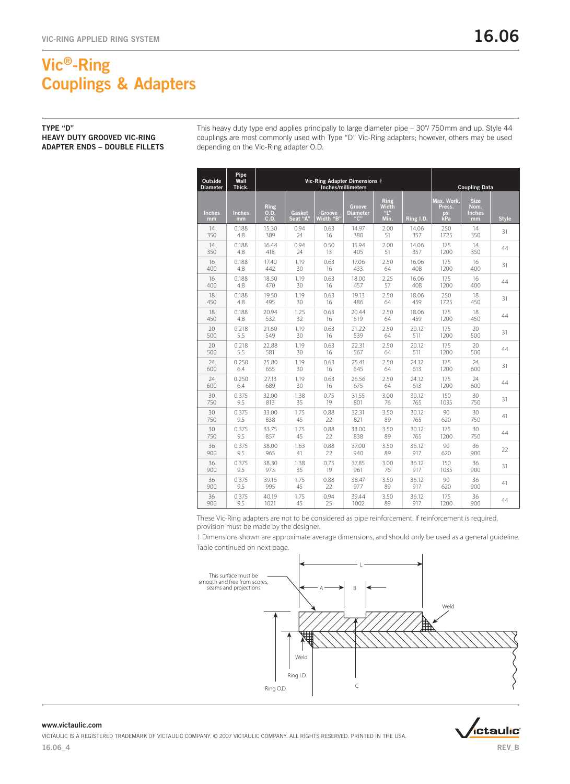Type "D" Heavy Duty Grooved Vic-Ring Adapter Ends – Double Fillets This heavy duty type end applies principally to large diameter pipe – 30"/ 750mm and up. Style 44 couplings are most commonly used with Type "D" Vic-Ring adapters; however, others may be used depending on the Vic-Ring adapter O.D.

| Outside<br><b>Diameter</b> | Pipe<br>Wall<br>Thick. | Vic-Ring Adapter Dimensions †<br>Inches/millimeters |                    |                     |                                  |                              |           |                                    | <b>Coupling Data</b>                       |              |
|----------------------------|------------------------|-----------------------------------------------------|--------------------|---------------------|----------------------------------|------------------------------|-----------|------------------------------------|--------------------------------------------|--------------|
| <b>Inches</b><br>mm        | <b>Inches</b><br>mm    | Ring<br>0.D.<br>C.D.                                | Gasket<br>Seat "A" | Groove<br>Width "B" | Groove<br><b>Diameter</b><br>"C" | Ring<br>Width<br>"L"<br>Min. | Ring I.D. | Max. Work.<br>Press.<br>psi<br>kPa | <b>Size</b><br>Nom.<br><b>Inches</b><br>mm | <b>Style</b> |
| 14                         | 0.188                  | 15.30                                               | 0.94               | 0.63                | 14.97                            | 2.00                         | 14.06     | 250                                | 14                                         | 31           |
| 350                        | 4.8                    | 389                                                 | 24                 | 16                  | 380                              | 51                           | 357       | 1725                               | 350                                        |              |
| 14                         | 0.188                  | 16.44                                               | 0.94               | 0.50                | 15.94                            | 2.00                         | 14.06     | 175                                | 14                                         | 44           |
| 350                        | 4.8                    | 418                                                 | 24                 | 13                  | 405                              | 51                           | 357       | 1200                               | 350                                        |              |
| 16                         | 0.188                  | 17.40                                               | 1.19               | 0.63                | 17.06                            | 2.50                         | 16.06     | 175                                | 16                                         | 31           |
| 400                        | 4.8                    | 442                                                 | 30                 | 16                  | 433                              | 64                           | 408       | 1200                               | 400                                        |              |
| 16                         | 0.188                  | 18.50                                               | 1.19               | 0.63                | 18.00                            | 2.25                         | 16.06     | 175                                | 16                                         | 44           |
| 400                        | 4.8                    | 470                                                 | 30                 | 16                  | 457                              | 57                           | 408       | 1200                               | 400                                        |              |
| 18                         | 0.188                  | 19.50                                               | 1.19               | 0.63                | 19.13                            | 2.50                         | 18.06     | 250                                | 18                                         | 31           |
| 450                        | 4.8                    | 495                                                 | 30                 | 16                  | 486                              | 64                           | 459       | 1725                               | 450                                        |              |
| 18                         | 0.188                  | 20.94                                               | 1.25               | 0.63                | 20.44                            | 2.50                         | 18.06     | 175                                | 18                                         | 44           |
| 450                        | 4.8                    | 532                                                 | 32                 | 16                  | 519                              | 64                           | 459       | 1200                               | 450                                        |              |
| 20                         | 0.218                  | 21.60                                               | 1.19               | 0.63                | 21.22                            | 2.50                         | 20.12     | 175                                | 20                                         | 31           |
| 500                        | 5.5                    | 549                                                 | 30                 | 16                  | 539                              | 64                           | 511       | 1200                               | 500                                        |              |
| 20                         | 0.218                  | 22.88                                               | 1.19               | 0.63                | 22.31                            | 2.50                         | 20.12     | 175                                | 20                                         | 44           |
| 500                        | 5.5                    | 581                                                 | 30                 | 16                  | 567                              | 64                           | 511       | 1200                               | 500                                        |              |
| 24                         | 0.250                  | 25.80                                               | 1.19               | 0.63                | 25.41                            | 2.50                         | 24.12     | 175                                | 24                                         | 31           |
| 600                        | 6.4                    | 655                                                 | 30                 | 16                  | 645                              | 64                           | 613       | 1200                               | 600                                        |              |
| 24                         | 0.250                  | 27.13                                               | 1.19               | 0.63                | 26.56                            | 2.50                         | 24.12     | 175                                | 24                                         | 44           |
| 600                        | 6.4                    | 689                                                 | 30                 | 16                  | 675                              | 64                           | 613       | 1200                               | 600                                        |              |
| 30                         | 0.375                  | 32.00                                               | 1.38               | 0.75                | 31.55                            | 3.00                         | 30.12     | 150                                | 30                                         | 31           |
| 750                        | 9.5                    | 813                                                 | 35                 | 19                  | 801                              | 76                           | 765       | 1035                               | 750                                        |              |
| 30                         | 0.375                  | 33.00                                               | 1.75               | 0.88                | 32.31                            | 3.50                         | 30.12     | 90                                 | 30                                         | 41           |
| 750                        | 9.5                    | 838                                                 | 45                 | 22                  | 821                              | 89                           | 765       | 620                                | 750                                        |              |
| 30                         | 0.375                  | 33.75                                               | 1.75               | 0.88                | 33.00                            | 3.50                         | 30.12     | 175                                | 30                                         | 44           |
| 750                        | 9.5                    | 857                                                 | 45                 | 22                  | 838                              | 89                           | 765       | 1200                               | 750                                        |              |
| 36                         | 0.375                  | 38.00                                               | 1.63               | 0.88                | 37.00                            | 3.50                         | 36.12     | 90                                 | 36                                         | 22           |
| 900                        | 9.5                    | 965                                                 | 41                 | 22                  | 940                              | 89                           | 917       | 620                                | 900                                        |              |
| 36                         | 0.375                  | 38.30                                               | 1.38               | 0.75                | 37.85                            | 3.00                         | 36.12     | 150                                | 36                                         | 31           |
| 900                        | 9.5                    | 973                                                 | 35                 | 19                  | 961                              | 76                           | 917       | 1035                               | 900                                        |              |
| 36                         | 0.375                  | 39.16                                               | 1.75               | 0.88                | 38.47                            | 3.50                         | 36.12     | 90                                 | 36                                         | 41           |
| 900                        | 9.5                    | 995                                                 | 45                 | 22                  | 977                              | 89                           | 917       | 620                                | 900                                        |              |
| 36                         | 0.375                  | 40.19                                               | 1.75               | 0.94                | 39.44                            | 3.50                         | 36.12     | 175                                | 36                                         | 44           |
| 900                        | 9.5                    | 1021                                                | 45                 | 25                  | 1002                             | 89                           | 917       | 1200                               | 900                                        |              |

These Vic-Ring adapters are not to be considered as pipe reinforcement. If reinforcement is required, provision must be made by the designer.

† Dimensions shown are approximate average dimensions, and should only be used as a general guideline. Table continued on next page.





## www.victaulic.com

*i*ctaulic®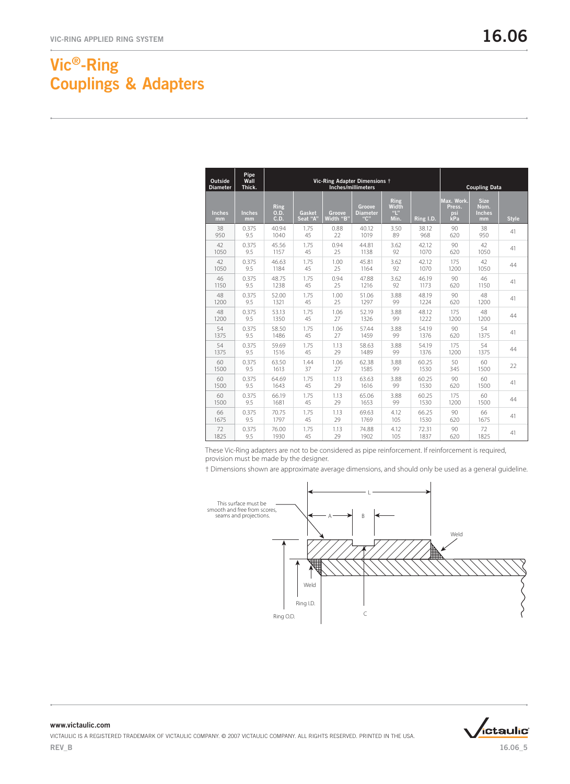| <b>Outside</b><br><b>Diameter</b> | Pipe<br>Wall<br>Thick. | Vic-Ring Adapter Dimensions †<br>Inches/millimeters |                    |                     |                                  |                                                    |             |                                    | <b>Coupling Data</b>                       |              |
|-----------------------------------|------------------------|-----------------------------------------------------|--------------------|---------------------|----------------------------------|----------------------------------------------------|-------------|------------------------------------|--------------------------------------------|--------------|
| <b>Inches</b><br>mm               | <b>Inches</b><br>mm    | <b>Ring</b><br>0.D.<br>C.D.                         | Gasket<br>Seat "A" | Groove<br>Width "B" | Groove<br><b>Diameter</b><br>"C" | Ring<br>Width<br>$\mathbf{u}_{\mathsf{L}}$<br>Min. | $Ring$ I.D. | Max. Work.<br>Press.<br>psi<br>kРa | <b>Size</b><br>Nom.<br><b>Inches</b><br>mm | <b>Style</b> |
| 38                                | 0.375                  | 40.94                                               | 1.75               | 0.88                | 40.12                            | 3.50                                               | 38.12       | 90                                 | 38                                         | 41           |
| 950                               | 9.5                    | 1040                                                | 45                 | 22                  | 1019                             | 89                                                 | 968         | 620                                | 950                                        |              |
| 42                                | 0.375                  | 45.56                                               | 1.75               | 0.94                | 44.81                            | 3.62                                               | 42.12       | 90                                 | 42                                         | 41           |
| 1050                              | 9.5                    | 1157                                                | 45                 | 25                  | 1138                             | 92                                                 | 1070        | 620                                | 1050                                       |              |
| 42                                | 0.375                  | 46.63                                               | 1.75               | 1.00                | 45.81                            | 3.62                                               | 42.12       | 175                                | 42                                         | 44           |
| 1050                              | 9.5                    | 1184                                                | 45                 | 25                  | 1164                             | 92                                                 | 1070        | 1200                               | 1050                                       |              |
| 46                                | 0.375                  | 48.75                                               | 1.75               | 0.94                | 47.88                            | 3.62                                               | 46.19       | 90                                 | 46                                         | 41           |
| 1150                              | 9.5                    | 1238                                                | 45                 | 25                  | 1216                             | 92                                                 | 1173        | 620                                | 1150                                       |              |
| 48                                | 0.375                  | 52.00                                               | 1.75               | 1.00                | 51.06                            | 3.88                                               | 48.19       | 90                                 | 48                                         | 41           |
| 1200                              | 9.5                    | 1321                                                | 45                 | 25                  | 1297                             | 99                                                 | 1224        | 620                                | 1200                                       |              |
| 48                                | 0.375                  | 53.13                                               | 1.75               | 1.06                | 52.19                            | 3.88                                               | 48.12       | 175                                | 48                                         | 44           |
| 1200                              | 9.5                    | 1350                                                | 45                 | 27                  | 1326                             | 99                                                 | 1222        | 1200                               | 1200                                       |              |
| 54                                | 0.375                  | 58.50                                               | 1.75               | 1.06                | 57.44                            | 3.88                                               | 54.19       | 90                                 | 54                                         | 41           |
| 1375                              | 9.5                    | 1486                                                | 45                 | 27                  | 1459                             | 99                                                 | 1376        | 620                                | 1375                                       |              |
| 54                                | 0.375                  | 59.69                                               | 1.75               | 1.13                | 58.63                            | 3.88                                               | 54.19       | 175                                | 54                                         | 44           |
| 1375                              | 9.5                    | 1516                                                | 45                 | 29                  | 1489                             | 99                                                 | 1376        | 1200                               | 1375                                       |              |
| 60                                | 0.375                  | 63.50                                               | 1.44               | 1.06                | 62.38                            | 3.88                                               | 60.25       | 50                                 | 60                                         | 22           |
| 1500                              | 9.5                    | 1613                                                | 37                 | 27                  | 1585                             | 99                                                 | 1530        | 345                                | 1500                                       |              |
| 60                                | 0.375                  | 64.69                                               | 1.75               | 1.13                | 63.63                            | 3.88                                               | 60.25       | 90                                 | 60                                         | 41           |
| 1500                              | 9.5                    | 1643                                                | 45                 | 29                  | 1616                             | 99                                                 | 1530        | 620                                | 1500                                       |              |
| 60                                | 0.375                  | 66.19                                               | 1.75               | 1.13                | 65.06                            | 3.88                                               | 60.25       | 175                                | 60                                         | 44           |
| 1500                              | 9.5                    | 1681                                                | 45                 | 29                  | 1653                             | 99                                                 | 1530        | 1200                               | 1500                                       |              |
| 66                                | 0.375                  | 70.75                                               | 1.75               | 1.13                | 69.63                            | 4.12                                               | 66.25       | 90                                 | 66                                         | 41           |
| 1675                              | 9.5                    | 1797                                                | 45                 | 29                  | 1769                             | 105                                                | 1530        | 620                                | 1675                                       |              |
| 72                                | 0.375                  | 76.00                                               | 1.75               | 1.13                | 74.88                            | 4.12                                               | 72.31       | 90                                 | 72                                         | 41           |
| 1825                              | 9.5                    | 1930                                                | 45                 | 29                  | 1902                             | 105                                                | 1837        | 620                                | 1825                                       |              |

These Vic-Ring adapters are not to be considered as pipe reinforcement. If reinforcement is required, provision must be made by the designer.

† Dimensions shown are approximate average dimensions, and should only be used as a general guideline.



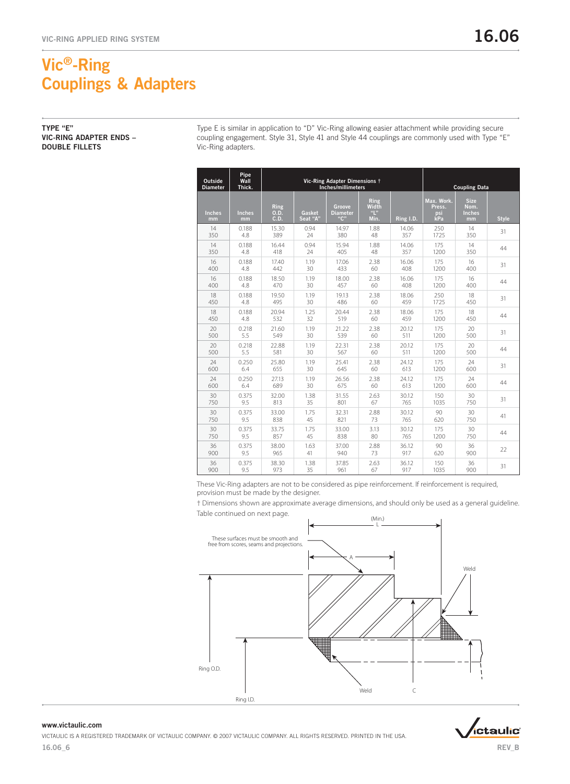Type E is similar in application to "D" Vic-Ring allowing easier attachment while providing secure coupling engagement. Style 31, Style 41 and Style 44 couplings are commonly used with Type "E" Vic-Ring adapters.

| <b>Outside</b><br><b>Diameter</b> | Pipe<br>Wall<br>Thick. |                      |                    | Vic-Ring Adapter Dimensions <sup>†</sup><br>Inches/millimeters |                                     | <b>Coupling Data</b> |                                    |                                            |              |
|-----------------------------------|------------------------|----------------------|--------------------|----------------------------------------------------------------|-------------------------------------|----------------------|------------------------------------|--------------------------------------------|--------------|
| <b>Inches</b><br>mm               | <b>Inches</b><br>mm    | Ring<br>0.D.<br>C.D. | Gasket<br>Seat "A" | Groove<br><b>Diameter</b><br>"C"                               | Ring<br><b>Width</b><br>"L"<br>Min. | $Ring$ I.D.          | Max. Work.<br>Press.<br>psi<br>kPa | <b>Size</b><br>Nom.<br><b>Inches</b><br>mm | <b>Style</b> |
| 14                                | 0.188                  | 15.30                | 0.94               | 14.97                                                          | 1.88                                | 14.06                | 250                                | 14                                         | 31           |
| 350                               | 4.8                    | 389                  | 24                 | 380                                                            | 48                                  | 357                  | 1725                               | 350                                        |              |
| 14                                | 0.188                  | 16.44                | 0.94               | 15.94                                                          | 1.88                                | 14.06                | 175                                | 14                                         | 44           |
| 350                               | 4.8                    | 418                  | 24                 | 405                                                            | 48                                  | 357                  | 1200                               | 350                                        |              |
| 16                                | 0.188                  | 17.40                | 1.19               | 17.06                                                          | 2.38                                | 16.06                | 175                                | 16                                         | 31           |
| 400                               | 4.8                    | 442                  | 30                 | 433                                                            | 60                                  | 408                  | 1200                               | 400                                        |              |
| 16                                | 0.188                  | 18.50                | 1.19               | 18.00                                                          | 2.38                                | 16.06                | 175                                | 16                                         | 44           |
| 400                               | 4.8                    | 470                  | 30                 | 457                                                            | 60                                  | 408                  | 1200                               | 400                                        |              |
| 18                                | 0.188                  | 19.50                | 1.19               | 19.13                                                          | 2.38                                | 18.06                | 250                                | 18                                         | 31           |
| 450                               | 4.8                    | 495                  | 30                 | 486                                                            | 60                                  | 459                  | 1725                               | 450                                        |              |
| 18                                | 0.188                  | 20.94                | 1.25               | 20.44                                                          | 2.38                                | 18.06                | 175                                | 18                                         | 44           |
| 450                               | 4.8                    | 532                  | 32                 | 519                                                            | 60                                  | 459                  | 1200                               | 450                                        |              |
| 20                                | 0.218                  | 21.60                | 1.19               | 21.22                                                          | 2.38                                | 20.12                | 175                                | 20                                         | 31           |
| 500                               | 5.5                    | 549                  | 30                 | 539                                                            | 60                                  | 511                  | 1200                               | 500                                        |              |
| 20                                | 0.218                  | 22.88                | 1.19               | 22.31                                                          | 2.38                                | 20.12                | 175                                | 20                                         | 44           |
| 500                               | 5.5                    | 581                  | 30                 | 567                                                            | 60                                  | 511                  | 1200                               | 500                                        |              |
| 24                                | 0.250                  | 25.80                | 1.19               | 25.41                                                          | 2.38                                | 24.12                | 175                                | 24                                         | 31           |
| 600                               | 6.4                    | 655                  | 30                 | 645                                                            | 60                                  | 613                  | 1200                               | 600                                        |              |
| 24                                | 0.250                  | 27.13                | 1.19               | 26.56                                                          | 2.38                                | 24.12                | 175                                | 24                                         | 44           |
| 600                               | 6.4                    | 689                  | 30                 | 675                                                            | 60                                  | 613                  | 1200                               | 600                                        |              |
| 30                                | 0.375                  | 32.00                | 1.38               | 31.55                                                          | 2.63                                | 30.12                | 150                                | 30                                         | 31           |
| 750                               | 9.5                    | 813                  | 35                 | 801                                                            | 67                                  | 765                  | 1035                               | 750                                        |              |
| 30                                | 0.375                  | 33.00                | 1.75               | 32.31                                                          | 2.88                                | 30.12                | 90                                 | 30                                         | 41           |
| 750                               | 9.5                    | 838                  | 45                 | 821                                                            | 73                                  | 765                  | 620                                | 750                                        |              |
| 30                                | 0.375                  | 33.75                | 1.75               | 33.00                                                          | 3.13                                | 30.12                | 175                                | 30                                         | 44           |
| 750                               | 9.5                    | 857                  | 45                 | 838                                                            | 80                                  | 765                  | 1200                               | 750                                        |              |
| 36                                | 0.375                  | 38.00                | 1.63               | 37.00                                                          | 2.88                                | 36.12                | 90                                 | 36                                         | 22           |
| 900                               | 9.5                    | 965                  | 41                 | 940                                                            | 73                                  | 917                  | 620                                | 900                                        |              |
| 36                                | 0.375                  | 38.30                | 1.38               | 37.85                                                          | 2.63                                | 36.12                | 150                                | 36                                         | 31           |
| 900                               | 9.5                    | 973                  | 35                 | 961                                                            | 67                                  | 917                  | 1035                               | 900                                        |              |

These Vic-Ring adapters are not to be considered as pipe reinforcement. If reinforcement is required, provision must be made by the designer.

† Dimensions shown are approximate average dimensions, and should only be used as a general guideline.



### www.victaulic.com

16.06\_6 Victaulic is a registered trademark of Victaulic Company. © 2007 Victaulic Company. All rights reserved. printed in the USA.



REV\_B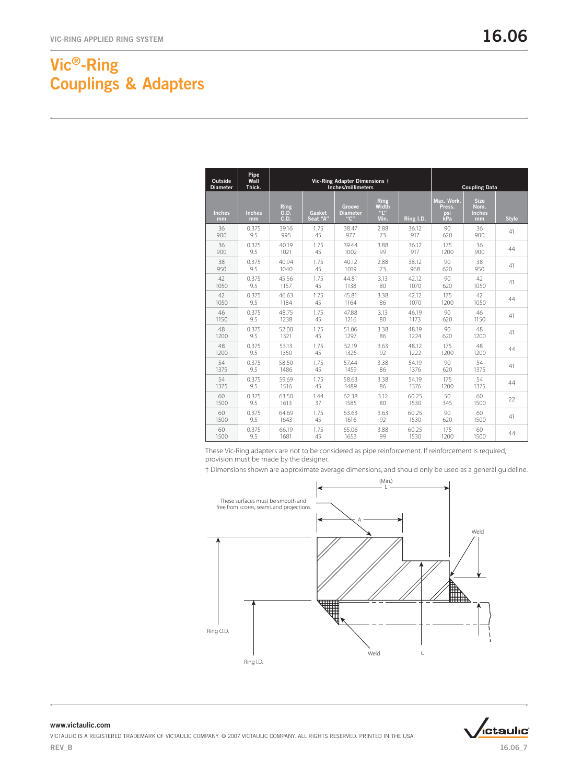| Outside<br><b>Diameter</b> | Pipe<br>Wall<br>Thick. |                      |                    | Vic-Ring Adapter Dimensions +<br>Inches/millimeters |                                     | <b>Coupling Data</b> |                                    |                                            |              |
|----------------------------|------------------------|----------------------|--------------------|-----------------------------------------------------|-------------------------------------|----------------------|------------------------------------|--------------------------------------------|--------------|
| <b>Inches</b><br>mm        | <b>Inches</b><br>mm    | Ring<br>0.D.<br>C.D. | Gasket<br>Seat "A" | Groove<br><b>Diameter</b><br>"C"                    | Ring<br><b>Width</b><br>"L"<br>Min. | Ring I.D.            | Max. Work.<br>Press.<br>psi<br>kPa | <b>Size</b><br>Nom.<br><b>Inches</b><br>mm | <b>Style</b> |
| 36                         | 0.375                  | 39.16                | 1.75               | 38.47                                               | 2.88                                | 36.12                | 90                                 | 36                                         | 41           |
| 900                        | 9.5                    | 995                  | 45                 | 977                                                 | 73                                  | 917                  | 620                                | 900                                        |              |
| 36                         | 0.375                  | 40.19                | 1.75               | 39.44                                               | 3.88                                | 36.12                | 175                                | 36                                         | 44           |
| 900                        | 9.5                    | 1021                 | 45                 | 1002                                                | 99                                  | 917                  | 1200                               | 900                                        |              |
| 38                         | 0.375                  | 40.94                | 1.75               | 40.12                                               | 2.88                                | 38.12                | 90                                 | 38                                         | 41           |
| 950                        | 9.5                    | 1040                 | 45                 | 1019                                                | 73                                  | 968                  | 620                                | 950                                        |              |
| 42                         | 0.375                  | 45.56                | 1.75               | 44.81                                               | 3.13                                | 42.12                | 90                                 | 42                                         | 41           |
| 1050                       | 9.5                    | 1157                 | 45                 | 1138                                                | 80                                  | 1070                 | 620                                | 1050                                       |              |
| 42                         | 0.375                  | 46.63                | 1.75               | 45.81                                               | 3.38                                | 42.12                | 175                                | 42                                         | 44           |
| 1050                       | 9.5                    | 1184                 | 45                 | 1164                                                | 86                                  | 1070                 | 1200                               | 1050                                       |              |
| 46                         | 0.375                  | 48.75                | 1.75               | 47.88                                               | 3.13                                | 46.19                | 90                                 | 46                                         | 41           |
| 1150                       | 9.5                    | 1238                 | 45                 | 1216                                                | 80                                  | 1173                 | 620                                | 1150                                       |              |
| 48                         | 0.375                  | 52.00                | 1.75               | 51.06                                               | 3.38                                | 48.19                | 90                                 | 48                                         | 41           |
| 1200                       | 9.5                    | 1321                 | 45                 | 1297                                                | 86                                  | 1224                 | 620                                | 1200                                       |              |
| 48                         | 0.375                  | 53.13                | 1.75               | 52.19                                               | 3.63                                | 48.12                | 175                                | 48                                         | 44           |
| 1200                       | 9.5                    | 1350                 | 45                 | 1326                                                | 92                                  | 1222                 | 1200                               | 1200                                       |              |
| 54                         | 0.375                  | 58.50                | 1.75               | 57.44                                               | 3.38                                | 54.19                | 90                                 | 54                                         | 41           |
| 1375                       | 9.5                    | 1486                 | 45                 | 1459                                                | 86                                  | 1376                 | 620                                | 1375                                       |              |
| 54                         | 0.375                  | 59.69                | 1.75               | 58.63                                               | 3.38                                | 54.19                | 175                                | 54                                         | 44           |
| 1375                       | 9.5                    | 1516                 | 45                 | 1489                                                | 86                                  | 1376                 | 1200                               | 1375                                       |              |
| 60                         | 0.375                  | 63.50                | 1.44               | 62.38                                               | 3.12                                | 60.25                | 50                                 | 60                                         | 22           |
| 1500                       | 9.5                    | 1613                 | 37                 | 1585                                                | 80                                  | 1530                 | 345                                | 1500                                       |              |
| 60                         | 0.375                  | 64.69                | 1.75               | 63.63                                               | 3.63                                | 60.25                | 90                                 | 60                                         | 41           |
| 1500                       | 9.5                    | 1643                 | 45                 | 1616                                                | 92                                  | 1530                 | 620                                | 1500                                       |              |
| 60                         | 0.375                  | 66.19                | 1.75               | 65.06                                               | 3.88                                | 60.25                | 175                                | 60                                         | 44           |
| 1500                       | 9.5                    | 1681                 | 45                 | 1653                                                | 99                                  | 1530                 | 1200                               | 1500                                       |              |

These Vic-Ring adapters are not to be considered as pipe reinforcement. If reinforcement is required, provision must be made by the designer.

† Dimensions shown are approximate average dimensions, and should only be used as a general guideline.